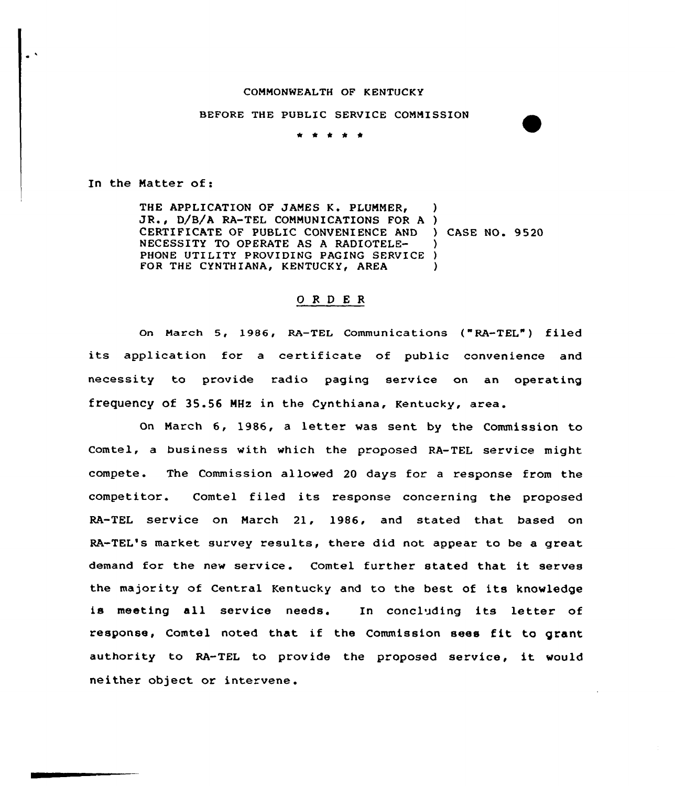## COMMONWEALTH OF KENTUCKY

## BEFORE THE PUBLIC SERVICE COMMISSION

\* 4'

In the Natter of:

THE APPLICATION OF JAMES K. PLUMMER, APPLICATION OF JAMES K. PLUMMER,<br>, D/B/A RA-TEL COMMUNICATIONS FOR A ) CERTIFICATE OF PUBLIC CONVENIENCE AND ) CASE NO. 9520 NECESSITY TO OPERATE AS A RADIOTELE-PHONE UTILITY PROVIDING PAGING SERVICE FOR THE CYNTHIANA, KENTUCKY, AREA ) ) ) )

## ORDER

on March 5, 1986, RA-TEL Communications ( "RA-TEL" ) filed its application for a certificate of public convenience and necessity to provide radio paging service on an operating frequency of 35.56 NHz in the Cynthiana, Kentucky, area.

On March 6, 1986, <sup>a</sup> letter was sent by the Commission to Comtel, a business with which the proposed RA-TEL service might compete. The Commission allowed 20 days for a response from the competitor. Comtel filed its response concerning the proposed RA-TEL service on March 21, 1986, and stated that based on RA-TEL's market survey results, there did not appear to be a great demand for the new service. Comtel further stated that it serves the majority of Central Kentucky and to the best of its knowledge is meeting all service needs. In concluding its letter of response, Comtel noted that if the Commission sees fit to grant authority to RA-TEL to provide the proposed service, it would neither object or intervene.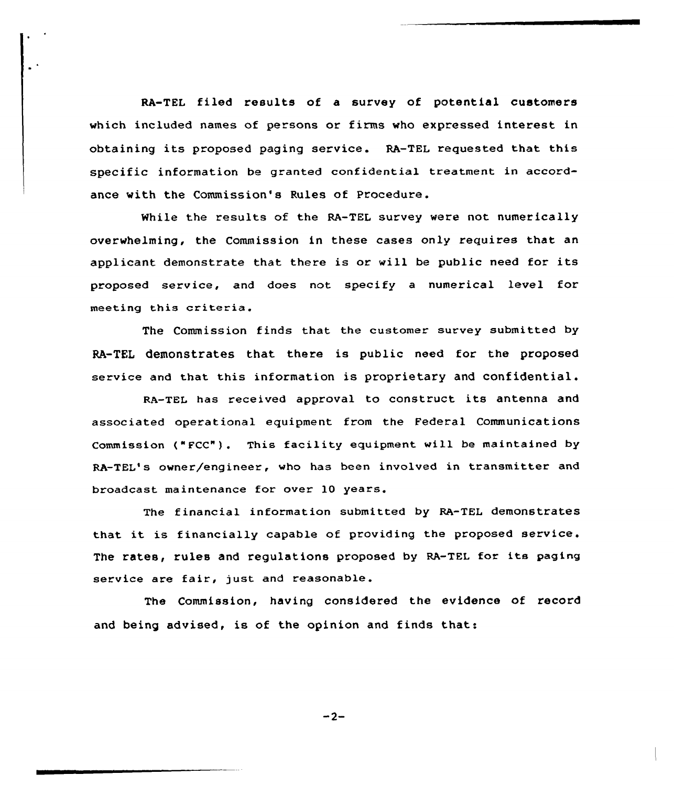RA-TEL filed results of a survey of potential customers vhich included names of persons or firma who expressed interest in obtaining its proposed paging service. RA-TEL requested that this specific information be granted confidential treatment in accordance with the Commission's Rules of Procedure.

While the results of the RA-TEL survey vere not numerically overwhelming, the Commission in these cases only requires that an applicant demonstrate that there is or will be public need for its proposed service, and does not specify a numerical level for meeting this criteria.

The Commission finds that the customer survey submitted by RA-TEL demonstrates that there is public need for the proposed service and that this information is proprietary and confidential.

RA-TEL has received approval to construct its antenna and associated operational equipment from the Federal Communications Commission ("FCC"). This facility equipment vill be maintained by RA-TEL's owner/engineer, vho has been involved in transmitter and broadcast maintenance for over 10 years.

The financial information submitted by RA-TEL demonstrates that it is financially capable of providing the proposed service The rates, rules and regulations proposed by RA-TEL for its paging service are fair, just and reasonable.

The Commission, having considered the evidence of record and being advised, is of the opinion and finds that:

 $-2-$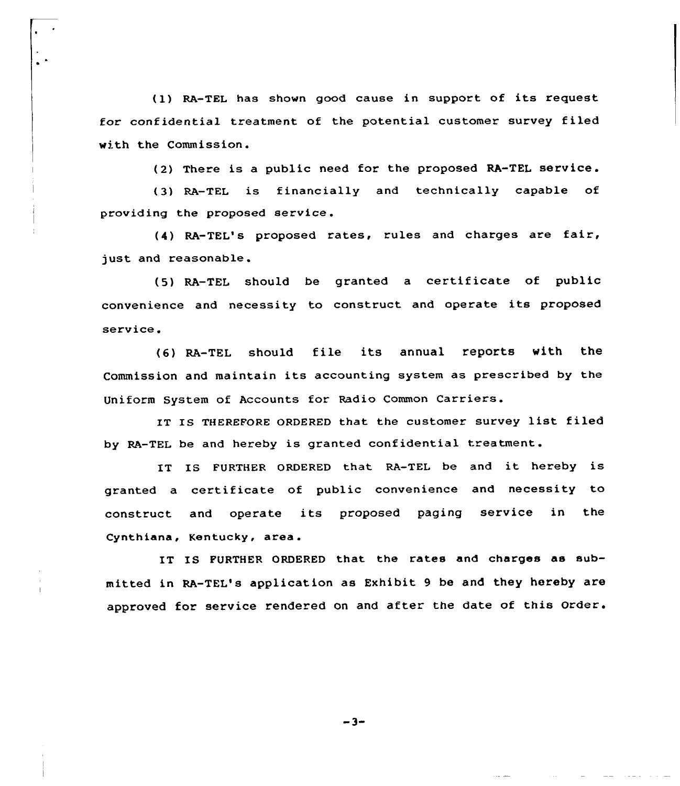(1) RA-TEL has shown good cause in support of its request for conf idential treatment of the potential customer survey f iled with the Commission.

(2) There is a public need for the proposed RA-TEL service.

(3) RA-TEL is financially and technically capable of providing the proposed service.

(4) RA-TEL's proposed rates, rules and charges are fair, just and reasonable.

(5) RA-TEL should be granted <sup>a</sup> certificate of public convenience and necessity to construct and operate its proposed service.

(6) RA-TEL should file its annual reports with the Commission and maintain its accounting system as prescribed by the Uniform System of Accounts for Radio Common Carriers.

IT Is THEREFORE ORDERED that the customer survey list filed by RA-TEL be and hereby is granted confidential treatment.

IT IS FURTHER ORDERED that RA-TEL be and it hereby is granted a certificate of public convenience and necessity to construct and operate its proposed paging service in the Cynthiana, Kentucky, area.

IT IS FURTHER ORDERED that the rates and charges as submitted in RA-TEL's application as Exhibit 9 be and they hereby are approved for service rendered on and after the date of this Order.

 $-3-$